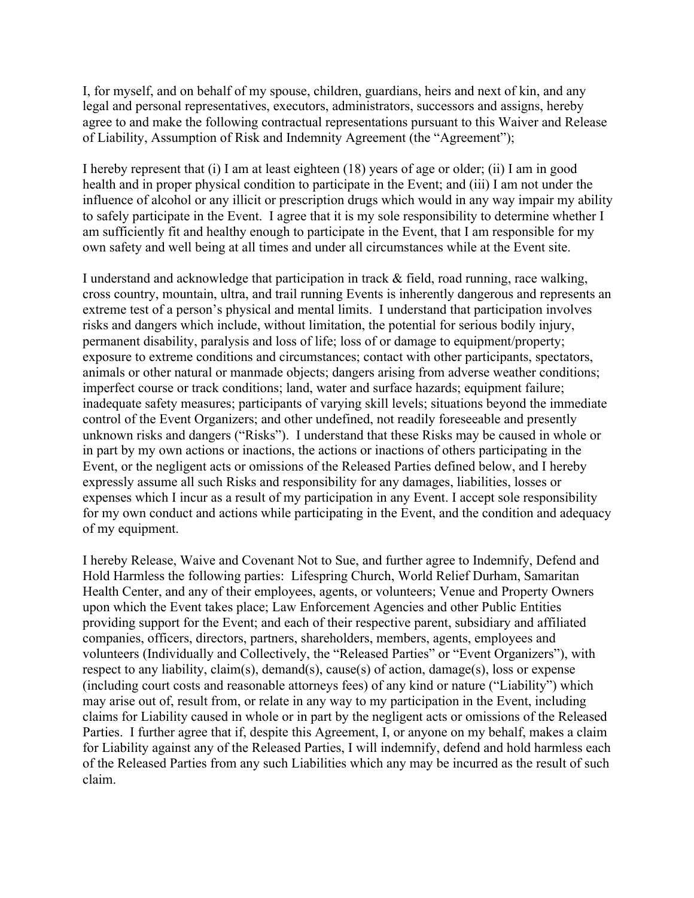I, for myself, and on behalf of my spouse, children, guardians, heirs and next of kin, and any legal and personal representatives, executors, administrators, successors and assigns, hereby agree to and make the following contractual representations pursuant to this Waiver and Release of Liability, Assumption of Risk and Indemnity Agreement (the "Agreement");

I hereby represent that (i) I am at least eighteen (18) years of age or older; (ii) I am in good health and in proper physical condition to participate in the Event; and (iii) I am not under the influence of alcohol or any illicit or prescription drugs which would in any way impair my ability to safely participate in the Event. I agree that it is my sole responsibility to determine whether I am sufficiently fit and healthy enough to participate in the Event, that I am responsible for my own safety and well being at all times and under all circumstances while at the Event site.

I understand and acknowledge that participation in track & field, road running, race walking, cross country, mountain, ultra, and trail running Events is inherently dangerous and represents an extreme test of a person's physical and mental limits. I understand that participation involves risks and dangers which include, without limitation, the potential for serious bodily injury, permanent disability, paralysis and loss of life; loss of or damage to equipment/property; exposure to extreme conditions and circumstances; contact with other participants, spectators, animals or other natural or manmade objects; dangers arising from adverse weather conditions; imperfect course or track conditions; land, water and surface hazards; equipment failure; inadequate safety measures; participants of varying skill levels; situations beyond the immediate control of the Event Organizers; and other undefined, not readily foreseeable and presently unknown risks and dangers ("Risks"). I understand that these Risks may be caused in whole or in part by my own actions or inactions, the actions or inactions of others participating in the Event, or the negligent acts or omissions of the Released Parties defined below, and I hereby expressly assume all such Risks and responsibility for any damages, liabilities, losses or expenses which I incur as a result of my participation in any Event. I accept sole responsibility for my own conduct and actions while participating in the Event, and the condition and adequacy of my equipment.

I hereby Release, Waive and Covenant Not to Sue, and further agree to Indemnify, Defend and Hold Harmless the following parties: Lifespring Church, World Relief Durham, Samaritan Health Center, and any of their employees, agents, or volunteers; Venue and Property Owners upon which the Event takes place; Law Enforcement Agencies and other Public Entities providing support for the Event; and each of their respective parent, subsidiary and affiliated companies, officers, directors, partners, shareholders, members, agents, employees and volunteers (Individually and Collectively, the "Released Parties" or "Event Organizers"), with respect to any liability, claim(s), demand(s), cause(s) of action, damage(s), loss or expense (including court costs and reasonable attorneys fees) of any kind or nature ("Liability") which may arise out of, result from, or relate in any way to my participation in the Event, including claims for Liability caused in whole or in part by the negligent acts or omissions of the Released Parties. I further agree that if, despite this Agreement, I, or anyone on my behalf, makes a claim for Liability against any of the Released Parties, I will indemnify, defend and hold harmless each of the Released Parties from any such Liabilities which any may be incurred as the result of such claim.